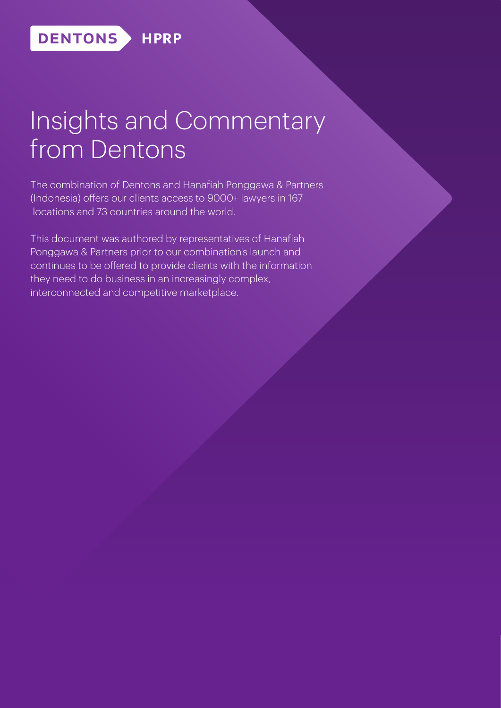# Insights and Commentary from Dentons

The combination of Dentons and Hanafiah Ponggawa & Partners (Indonesia) offers our clients access to 9000+ lawyers in 167 locations and 73 countries around the world.

This document was authored by representatives of Hanafiah Ponggawa & Partners prior to our combination's launch and continues to be offered to provide clients with the information they need to do business in an increasingly complex, interconnected and competitive marketplace.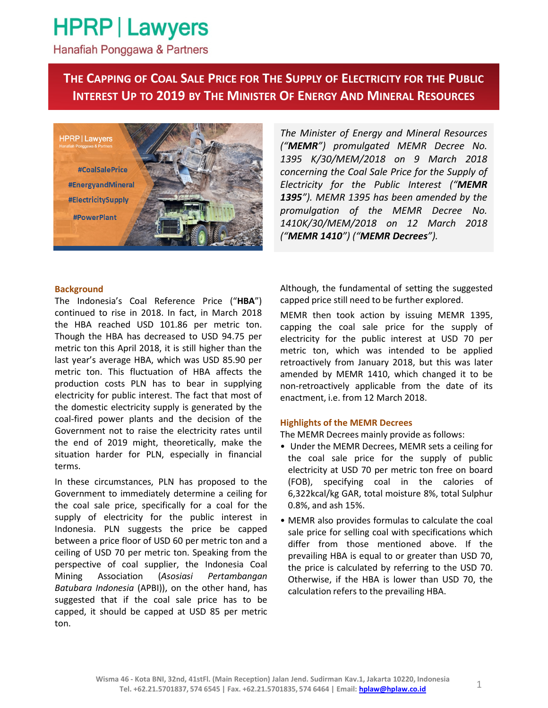## **HPRP | Lawyers**

Hanafiah Ponggawa & Partners

### THE CAPPING OF COAL SALE PRICE FOR THE SUPPLY OF ELECTRICITY FOR THE PUBLIC INTEREST UP TO 2019 BY THE MINISTER OF ENERGY AND MINERAL RESOURCES

**HPRP** | Lawyers #CoalSalePrice **#EnergyandMineral** #ElectricitySupply **#PowerPlant** 

The Minister of Energy and Mineral Resources ("MEMR") promulgated MEMR Decree No. 1395 K/30/MEM/2018 on 9 March 2018 concerning the Coal Sale Price for the Supply of Electricity for the Public Interest ("MEMR 1395"). MEMR 1395 has been amended by the promulgation of the MEMR Decree No. 1410K/30/MEM/2018 on 12 March 2018 ("MEMR 1410") ("MEMR Decrees").

#### **Background**

The Indonesia's Coal Reference Price ("HBA") continued to rise in 2018. In fact, in March 2018 the HBA reached USD 101.86 per metric ton. Though the HBA has decreased to USD 94.75 per metric ton this April 2018, it is still higher than the last year's average HBA, which was USD 85.90 per metric ton. This fluctuation of HBA affects the production costs PLN has to bear in supplying electricity for public interest. The fact that most of the domestic electricity supply is generated by the coal-fired power plants and the decision of the Government not to raise the electricity rates until the end of 2019 might, theoretically, make the situation harder for PLN, especially in financial terms.

In these circumstances, PLN has proposed to the Government to immediately determine a ceiling for the coal sale price, specifically for a coal for the supply of electricity for the public interest in Indonesia. PLN suggests the price be capped between a price floor of USD 60 per metric ton and a ceiling of USD 70 per metric ton. Speaking from the perspective of coal supplier, the Indonesia Coal Mining Association (Asosiasi Pertambangan Batubara Indonesia (APBI)), on the other hand, has suggested that if the coal sale price has to be capped, it should be capped at USD 85 per metric ton.

Although, the fundamental of setting the suggested capped price still need to be further explored.

MEMR then took action by issuing MEMR 1395, capping the coal sale price for the supply of electricity for the public interest at USD 70 per metric ton, which was intended to be applied retroactively from January 2018, but this was later amended by MEMR 1410, which changed it to be non-retroactively applicable from the date of its enactment, i.e. from 12 March 2018.

#### Highlights of the MEMR Decrees

The MEMR Decrees mainly provide as follows:

- Under the MEMR Decrees, MEMR sets a ceiling for the coal sale price for the supply of public electricity at USD 70 per metric ton free on board (FOB), specifying coal in the calories of 6,322kcal/kg GAR, total moisture 8%, total Sulphur 0.8%, and ash 15%.
- MEMR also provides formulas to calculate the coal sale price for selling coal with specifications which differ from those mentioned above. If the prevailing HBA is equal to or greater than USD 70, the price is calculated by referring to the USD 70. Otherwise, if the HBA is lower than USD 70, the calculation refers to the prevailing HBA.

1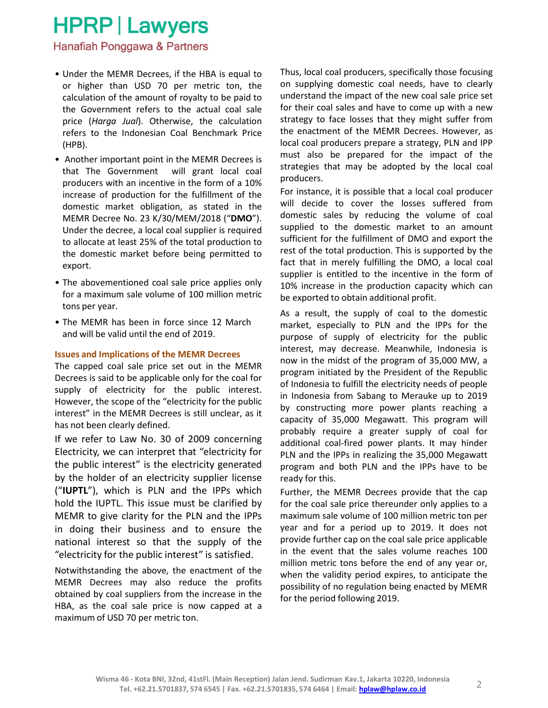### **HPRP | Lawyers**

Hanafiah Ponggawa & Partners

- Under the MEMR Decrees, if the HBA is equal to or higher than USD 70 per metric ton, the calculation of the amount of royalty to be paid to the Government refers to the actual coal sale price (Harga Jual). Otherwise, the calculation refers to the Indonesian Coal Benchmark Price (HPB).
- Another important point in the MEMR Decrees is that The Government will grant local coal producers with an incentive in the form of a 10% increase of production for the fulfillment of the domestic market obligation, as stated in the MEMR Decree No. 23 K/30/MEM/2018 ("DMO"). Under the decree, a local coal supplier is required to allocate at least 25% of the total production to the domestic market before being permitted to export.
- The abovementioned coal sale price applies only for a maximum sale volume of 100 million metric tons per year.
- The MEMR has been in force since 12 March and will be valid until the end of 2019.

#### Issues and Implications of the MEMR Decrees

The capped coal sale price set out in the MEMR Decrees is said to be applicable only for the coal for supply of electricity for the public interest. However, the scope of the "electricity for the public interest" in the MEMR Decrees is still unclear, as it has not been clearly defined.

If we refer to Law No. 30 of 2009 concerning Electricity, we can interpret that "electricity for the public interest" is the electricity generated by the holder of an electricity supplier license ("IUPTL"), which is PLN and the IPPs which hold the IUPTL. This issue must be clarified by MEMR to give clarity for the PLN and the IPPs in doing their business and to ensure the national interest so that the supply of the "electricity for the public interest" is satisfied.

Notwithstanding the above, the enactment of the MEMR Decrees may also reduce the profits obtained by coal suppliers from the increase in the HBA, as the coal sale price is now capped at a maximum of USD 70 per metric ton.

Thus, local coal producers, specifically those focusing on supplying domestic coal needs, have to clearly understand the impact of the new coal sale price set for their coal sales and have to come up with a new strategy to face losses that they might suffer from the enactment of the MEMR Decrees. However, as local coal producers prepare a strategy, PLN and IPP must also be prepared for the impact of the strategies that may be adopted by the local coal producers.

For instance, it is possible that a local coal producer will decide to cover the losses suffered from domestic sales by reducing the volume of coal supplied to the domestic market to an amount sufficient for the fulfillment of DMO and export the rest of the total production. This is supported by the fact that in merely fulfilling the DMO, a local coal supplier is entitled to the incentive in the form of 10% increase in the production capacity which can be exported to obtain additional profit.

As a result, the supply of coal to the domestic market, especially to PLN and the IPPs for the purpose of supply of electricity for the public interest, may decrease. Meanwhile, Indonesia is now in the midst of the program of 35,000 MW, a program initiated by the President of the Republic of Indonesia to fulfill the electricity needs of people in Indonesia from Sabang to Merauke up to 2019 by constructing more power plants reaching a capacity of 35,000 Megawatt. This program will probably require a greater supply of coal for additional coal-fired power plants. It may hinder PLN and the IPPs in realizing the 35,000 Megawatt program and both PLN and the IPPs have to be ready for this.

Further, the MEMR Decrees provide that the cap for the coal sale price thereunder only applies to a maximum sale volume of 100 million metric ton per year and for a period up to 2019. It does not provide further cap on the coal sale price applicable in the event that the sales volume reaches 100 million metric tons before the end of any year or, when the validity period expires, to anticipate the possibility of no regulation being enacted by MEMR for the period following 2019.

2